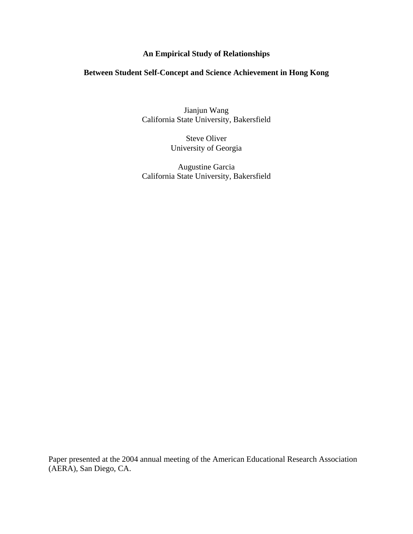## **An Empirical Study of Relationships**

## **Between Student Self-Concept and Science Achievement in Hong Kong**

Jianjun Wang California State University, Bakersfield

> Steve Oliver University of Georgia

Augustine Garcia California State University, Bakersfield

Paper presented at the 2004 annual meeting of the American Educational Research Association (AERA), San Diego, CA.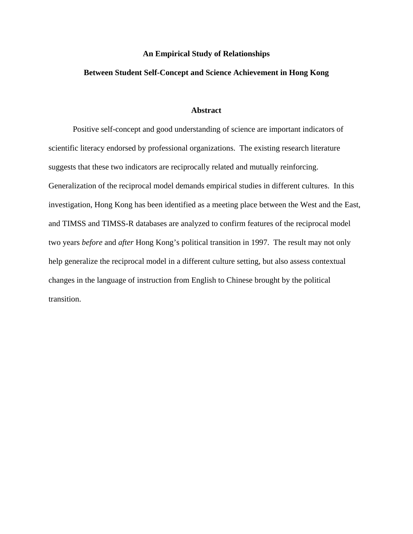### **An Empirical Study of Relationships**

## **Between Student Self-Concept and Science Achievement in Hong Kong**

### **Abstract**

 Positive self-concept and good understanding of science are important indicators of scientific literacy endorsed by professional organizations. The existing research literature suggests that these two indicators are reciprocally related and mutually reinforcing. Generalization of the reciprocal model demands empirical studies in different cultures. In this investigation, Hong Kong has been identified as a meeting place between the West and the East, and TIMSS and TIMSS-R databases are analyzed to confirm features of the reciprocal model two years *before* and *after* Hong Kong's political transition in 1997. The result may not only help generalize the reciprocal model in a different culture setting, but also assess contextual changes in the language of instruction from English to Chinese brought by the political transition.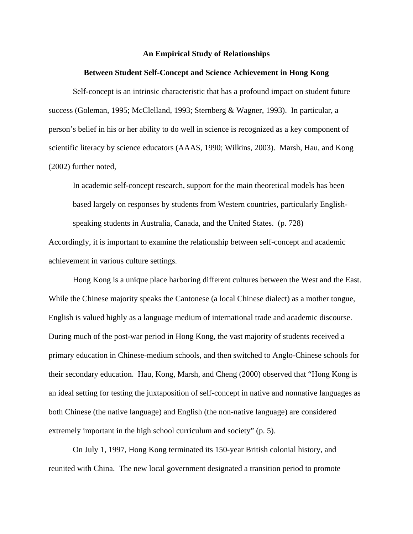#### **An Empirical Study of Relationships**

#### **Between Student Self-Concept and Science Achievement in Hong Kong**

 Self-concept is an intrinsic characteristic that has a profound impact on student future success (Goleman, 1995; McClelland, 1993; Sternberg & Wagner, 1993). In particular, a person's belief in his or her ability to do well in science is recognized as a key component of scientific literacy by science educators (AAAS, 1990; Wilkins, 2003). Marsh, Hau, and Kong (2002) further noted,

In academic self-concept research, support for the main theoretical models has been based largely on responses by students from Western countries, particularly Englishspeaking students in Australia, Canada, and the United States. (p. 728)

Accordingly, it is important to examine the relationship between self-concept and academic achievement in various culture settings.

Hong Kong is a unique place harboring different cultures between the West and the East. While the Chinese majority speaks the Cantonese (a local Chinese dialect) as a mother tongue, English is valued highly as a language medium of international trade and academic discourse. During much of the post-war period in Hong Kong, the vast majority of students received a primary education in Chinese-medium schools, and then switched to Anglo-Chinese schools for their secondary education. Hau, Kong, Marsh, and Cheng (2000) observed that "Hong Kong is an ideal setting for testing the juxtaposition of self-concept in native and nonnative languages as both Chinese (the native language) and English (the non-native language) are considered extremely important in the high school curriculum and society" (p. 5).

On July 1, 1997, Hong Kong terminated its 150-year British colonial history, and reunited with China. The new local government designated a transition period to promote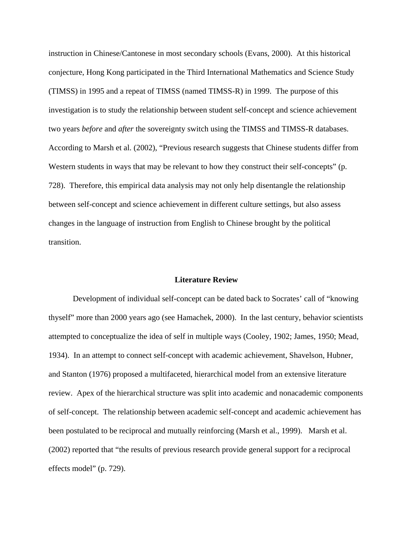instruction in Chinese/Cantonese in most secondary schools (Evans, 2000). At this historical conjecture, Hong Kong participated in the Third International Mathematics and Science Study (TIMSS) in 1995 and a repeat of TIMSS (named TIMSS-R) in 1999. The purpose of this investigation is to study the relationship between student self-concept and science achievement two years *before* and *after* the sovereignty switch using the TIMSS and TIMSS-R databases. According to Marsh et al. (2002), "Previous research suggests that Chinese students differ from Western students in ways that may be relevant to how they construct their self-concepts" (p. 728). Therefore, this empirical data analysis may not only help disentangle the relationship between self-concept and science achievement in different culture settings, but also assess changes in the language of instruction from English to Chinese brought by the political transition.

### **Literature Review**

Development of individual self-concept can be dated back to Socrates' call of "knowing thyself" more than 2000 years ago (see Hamachek, 2000). In the last century, behavior scientists attempted to conceptualize the idea of self in multiple ways (Cooley, 1902; James, 1950; Mead, 1934). In an attempt to connect self-concept with academic achievement, Shavelson, Hubner, and Stanton (1976) proposed a multifaceted, hierarchical model from an extensive literature review. Apex of the hierarchical structure was split into academic and nonacademic components of self-concept. The relationship between academic self-concept and academic achievement has been postulated to be reciprocal and mutually reinforcing (Marsh et al., 1999). Marsh et al. (2002) reported that "the results of previous research provide general support for a reciprocal effects model" (p. 729).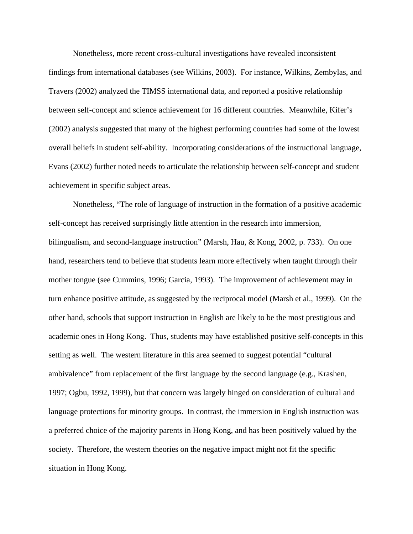Nonetheless, more recent cross-cultural investigations have revealed inconsistent findings from international databases (see Wilkins, 2003). For instance, Wilkins, Zembylas, and Travers (2002) analyzed the TIMSS international data, and reported a positive relationship between self-concept and science achievement for 16 different countries. Meanwhile, Kifer's (2002) analysis suggested that many of the highest performing countries had some of the lowest overall beliefs in student self-ability. Incorporating considerations of the instructional language, Evans (2002) further noted needs to articulate the relationship between self-concept and student achievement in specific subject areas.

Nonetheless, "The role of language of instruction in the formation of a positive academic self-concept has received surprisingly little attention in the research into immersion, bilingualism, and second-language instruction" (Marsh, Hau, & Kong, 2002, p. 733). On one hand, researchers tend to believe that students learn more effectively when taught through their mother tongue (see Cummins, 1996; Garcia, 1993). The improvement of achievement may in turn enhance positive attitude, as suggested by the reciprocal model (Marsh et al., 1999). On the other hand, schools that support instruction in English are likely to be the most prestigious and academic ones in Hong Kong. Thus, students may have established positive self-concepts in this setting as well. The western literature in this area seemed to suggest potential "cultural ambivalence" from replacement of the first language by the second language (e.g., Krashen, 1997; Ogbu, 1992, 1999), but that concern was largely hinged on consideration of cultural and language protections for minority groups. In contrast, the immersion in English instruction was a preferred choice of the majority parents in Hong Kong, and has been positively valued by the society. Therefore, the western theories on the negative impact might not fit the specific situation in Hong Kong.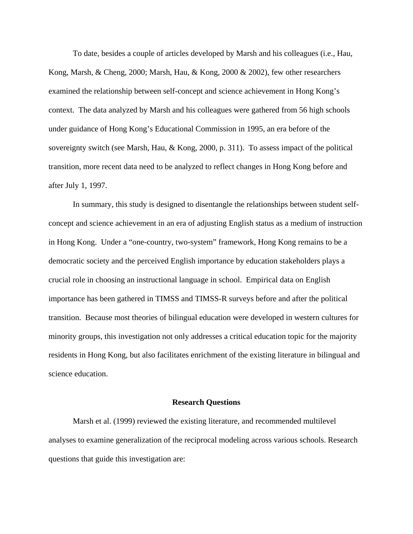To date, besides a couple of articles developed by Marsh and his colleagues (i.e., Hau, Kong, Marsh, & Cheng, 2000; Marsh, Hau, & Kong, 2000 & 2002), few other researchers examined the relationship between self-concept and science achievement in Hong Kong's context. The data analyzed by Marsh and his colleagues were gathered from 56 high schools under guidance of Hong Kong's Educational Commission in 1995, an era before of the sovereignty switch (see Marsh, Hau, & Kong, 2000, p. 311). To assess impact of the political transition, more recent data need to be analyzed to reflect changes in Hong Kong before and after July 1, 1997.

In summary, this study is designed to disentangle the relationships between student selfconcept and science achievement in an era of adjusting English status as a medium of instruction in Hong Kong. Under a "one-country, two-system" framework, Hong Kong remains to be a democratic society and the perceived English importance by education stakeholders plays a crucial role in choosing an instructional language in school. Empirical data on English importance has been gathered in TIMSS and TIMSS-R surveys before and after the political transition. Because most theories of bilingual education were developed in western cultures for minority groups, this investigation not only addresses a critical education topic for the majority residents in Hong Kong, but also facilitates enrichment of the existing literature in bilingual and science education.

#### **Research Questions**

 Marsh et al. (1999) reviewed the existing literature, and recommended multilevel analyses to examine generalization of the reciprocal modeling across various schools. Research questions that guide this investigation are: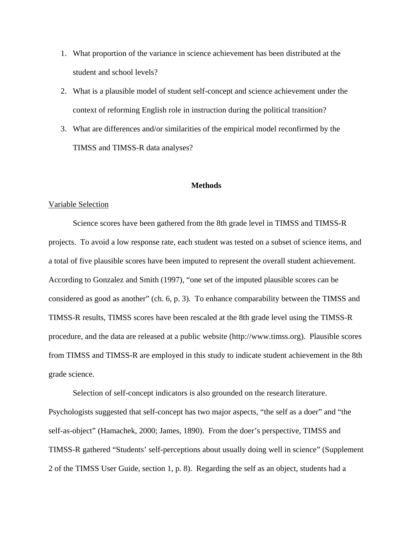- 1. What proportion of the variance in science achievement has been distributed at the student and school levels?
- 2. What is a plausible model of student self-concept and science achievement under the context of reforming English role in instruction during the political transition?
- 3. What are differences and/or similarities of the empirical model reconfirmed by the TIMSS and TIMSS-R data analyses?

## **Methods**

#### Variable Selection

 Science scores have been gathered from the 8th grade level in TIMSS and TIMSS-R projects. To avoid a low response rate, each student was tested on a subset of science items, and a total of five plausible scores have been imputed to represent the overall student achievement. According to Gonzalez and Smith (1997), "one set of the imputed plausible scores can be considered as good as another" (ch. 6, p. 3). To enhance comparability between the TIMSS and TIMSS-R results, TIMSS scores have been rescaled at the 8th grade level using the TIMSS-R procedure, and the data are released at a public website (http://www.timss.org). Plausible scores from TIMSS and TIMSS-R are employed in this study to indicate student achievement in the 8th grade science.

Selection of self-concept indicators is also grounded on the research literature. Psychologists suggested that self-concept has two major aspects, "the self as a doer" and "the self-as-object" (Hamachek, 2000; James, 1890). From the doer's perspective, TIMSS and TIMSS-R gathered "Students' self-perceptions about usually doing well in science" (Supplement 2 of the TIMSS User Guide, section 1, p. 8). Regarding the self as an object, students had a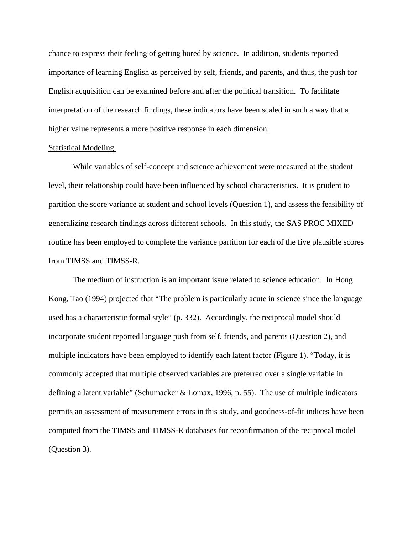chance to express their feeling of getting bored by science. In addition, students reported importance of learning English as perceived by self, friends, and parents, and thus, the push for English acquisition can be examined before and after the political transition. To facilitate interpretation of the research findings, these indicators have been scaled in such a way that a higher value represents a more positive response in each dimension.

#### Statistical Modeling

 While variables of self-concept and science achievement were measured at the student level, their relationship could have been influenced by school characteristics. It is prudent to partition the score variance at student and school levels (Question 1), and assess the feasibility of generalizing research findings across different schools. In this study, the SAS PROC MIXED routine has been employed to complete the variance partition for each of the five plausible scores from TIMSS and TIMSS-R.

The medium of instruction is an important issue related to science education. In Hong Kong, Tao (1994) projected that "The problem is particularly acute in science since the language used has a characteristic formal style" (p. 332). Accordingly, the reciprocal model should incorporate student reported language push from self, friends, and parents (Question 2), and multiple indicators have been employed to identify each latent factor (Figure 1). "Today, it is commonly accepted that multiple observed variables are preferred over a single variable in defining a latent variable" (Schumacker & Lomax, 1996, p. 55). The use of multiple indicators permits an assessment of measurement errors in this study, and goodness-of-fit indices have been computed from the TIMSS and TIMSS-R databases for reconfirmation of the reciprocal model (Question 3).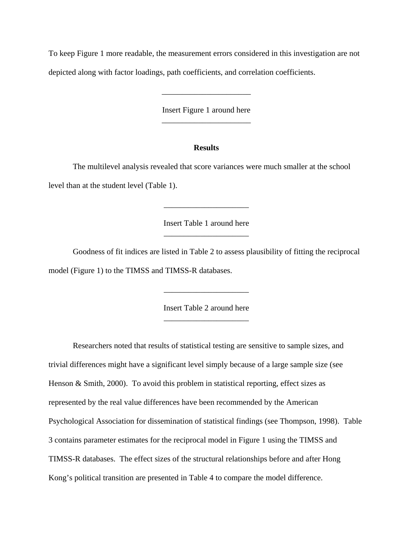To keep Figure 1 more readable, the measurement errors considered in this investigation are not depicted along with factor loadings, path coefficients, and correlation coefficients.

> Insert Figure 1 around here \_\_\_\_\_\_\_\_\_\_\_\_\_\_\_\_\_\_\_\_\_\_

> \_\_\_\_\_\_\_\_\_\_\_\_\_\_\_\_\_\_\_\_\_\_

### **Results**

 The multilevel analysis revealed that score variances were much smaller at the school level than at the student level (Table 1).

> Insert Table 1 around here \_\_\_\_\_\_\_\_\_\_\_\_\_\_\_\_\_\_\_\_\_

\_\_\_\_\_\_\_\_\_\_\_\_\_\_\_\_\_\_\_\_\_

 Goodness of fit indices are listed in Table 2 to assess plausibility of fitting the reciprocal model (Figure 1) to the TIMSS and TIMSS-R databases.

> Insert Table 2 around here \_\_\_\_\_\_\_\_\_\_\_\_\_\_\_\_\_\_\_\_\_

\_\_\_\_\_\_\_\_\_\_\_\_\_\_\_\_\_\_\_\_\_

Researchers noted that results of statistical testing are sensitive to sample sizes, and trivial differences might have a significant level simply because of a large sample size (see Henson & Smith, 2000). To avoid this problem in statistical reporting, effect sizes as represented by the real value differences have been recommended by the American Psychological Association for dissemination of statistical findings (see Thompson, 1998). Table 3 contains parameter estimates for the reciprocal model in Figure 1 using the TIMSS and TIMSS-R databases. The effect sizes of the structural relationships before and after Hong Kong's political transition are presented in Table 4 to compare the model difference.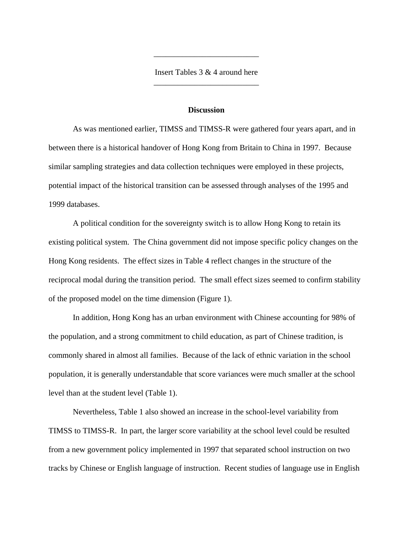Insert Tables 3 & 4 around here \_\_\_\_\_\_\_\_\_\_\_\_\_\_\_\_\_\_\_\_\_\_\_\_\_\_

\_\_\_\_\_\_\_\_\_\_\_\_\_\_\_\_\_\_\_\_\_\_\_\_\_\_

#### **Discussion**

 As was mentioned earlier, TIMSS and TIMSS-R were gathered four years apart, and in between there is a historical handover of Hong Kong from Britain to China in 1997. Because similar sampling strategies and data collection techniques were employed in these projects, potential impact of the historical transition can be assessed through analyses of the 1995 and 1999 databases.

 A political condition for the sovereignty switch is to allow Hong Kong to retain its existing political system. The China government did not impose specific policy changes on the Hong Kong residents. The effect sizes in Table 4 reflect changes in the structure of the reciprocal modal during the transition period. The small effect sizes seemed to confirm stability of the proposed model on the time dimension (Figure 1).

 In addition, Hong Kong has an urban environment with Chinese accounting for 98% of the population, and a strong commitment to child education, as part of Chinese tradition, is commonly shared in almost all families. Because of the lack of ethnic variation in the school population, it is generally understandable that score variances were much smaller at the school level than at the student level (Table 1).

Nevertheless, Table 1 also showed an increase in the school-level variability from TIMSS to TIMSS-R. In part, the larger score variability at the school level could be resulted from a new government policy implemented in 1997 that separated school instruction on two tracks by Chinese or English language of instruction. Recent studies of language use in English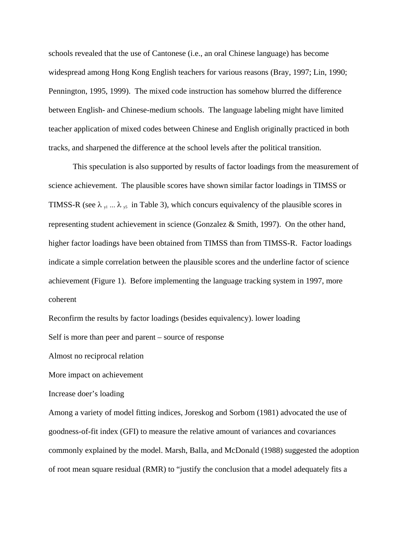schools revealed that the use of Cantonese (i.e., an oral Chinese language) has become widespread among Hong Kong English teachers for various reasons (Bray, 1997; Lin, 1990; Pennington, 1995, 1999). The mixed code instruction has somehow blurred the difference between English- and Chinese-medium schools. The language labeling might have limited teacher application of mixed codes between Chinese and English originally practiced in both tracks, and sharpened the difference at the school levels after the political transition.

This speculation is also supported by results of factor loadings from the measurement of science achievement. The plausible scores have shown similar factor loadings in TIMSS or TIMSS-R (see  $\lambda_{y1}$  ...  $\lambda_{y5}$  in Table 3), which concurs equivalency of the plausible scores in representing student achievement in science (Gonzalez & Smith, 1997). On the other hand, higher factor loadings have been obtained from TIMSS than from TIMSS-R. Factor loadings indicate a simple correlation between the plausible scores and the underline factor of science achievement (Figure 1). Before implementing the language tracking system in 1997, more coherent

Reconfirm the results by factor loadings (besides equivalency). lower loading

Self is more than peer and parent – source of response

Almost no reciprocal relation

More impact on achievement

Increase doer's loading

Among a variety of model fitting indices, Joreskog and Sorbom (1981) advocated the use of goodness-of-fit index (GFI) to measure the relative amount of variances and covariances commonly explained by the model. Marsh, Balla, and McDonald (1988) suggested the adoption of root mean square residual (RMR) to "justify the conclusion that a model adequately fits a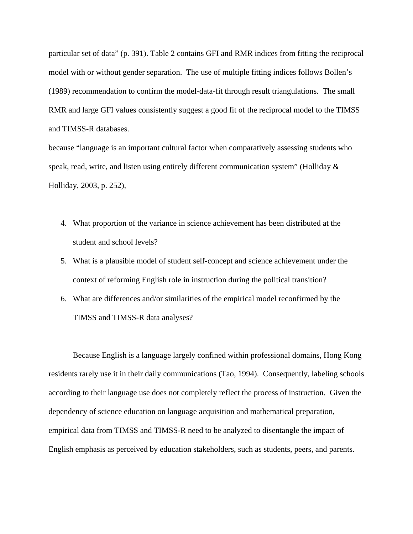particular set of data" (p. 391). Table 2 contains GFI and RMR indices from fitting the reciprocal model with or without gender separation. The use of multiple fitting indices follows Bollen's (1989) recommendation to confirm the model-data-fit through result triangulations. The small RMR and large GFI values consistently suggest a good fit of the reciprocal model to the TIMSS and TIMSS-R databases.

because "language is an important cultural factor when comparatively assessing students who speak, read, write, and listen using entirely different communication system" (Holliday & Holliday, 2003, p. 252),

- 4. What proportion of the variance in science achievement has been distributed at the student and school levels?
- 5. What is a plausible model of student self-concept and science achievement under the context of reforming English role in instruction during the political transition?
- 6. What are differences and/or similarities of the empirical model reconfirmed by the TIMSS and TIMSS-R data analyses?

Because English is a language largely confined within professional domains, Hong Kong residents rarely use it in their daily communications (Tao, 1994). Consequently, labeling schools according to their language use does not completely reflect the process of instruction. Given the dependency of science education on language acquisition and mathematical preparation, empirical data from TIMSS and TIMSS-R need to be analyzed to disentangle the impact of English emphasis as perceived by education stakeholders, such as students, peers, and parents.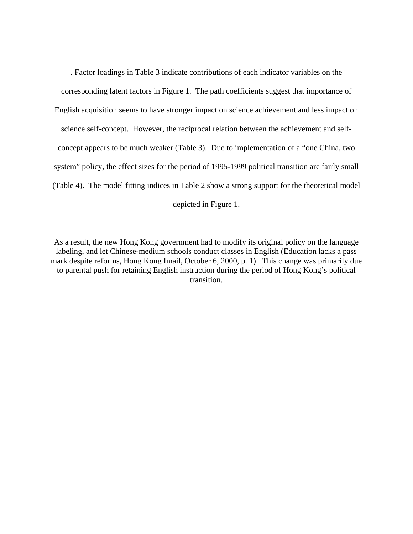. Factor loadings in Table 3 indicate contributions of each indicator variables on the corresponding latent factors in Figure 1. The path coefficients suggest that importance of English acquisition seems to have stronger impact on science achievement and less impact on science self-concept. However, the reciprocal relation between the achievement and selfconcept appears to be much weaker (Table 3). Due to implementation of a "one China, two system" policy, the effect sizes for the period of 1995-1999 political transition are fairly small (Table 4). The model fitting indices in Table 2 show a strong support for the theoretical model depicted in Figure 1.

As a result, the new Hong Kong government had to modify its original policy on the language labeling, and let Chinese-medium schools conduct classes in English (Education lacks a pass mark despite reforms, Hong Kong Imail, October 6, 2000, p. 1). This change was primarily due to parental push for retaining English instruction during the period of Hong Kong's political transition.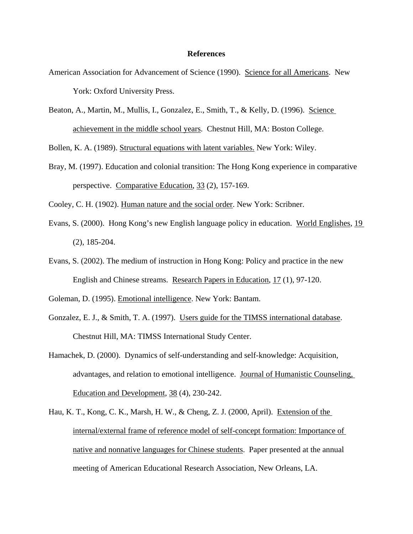### **References**

- American Association for Advancement of Science (1990). Science for all Americans. New York: Oxford University Press.
- Beaton, A., Martin, M., Mullis, I., Gonzalez, E., Smith, T., & Kelly, D. (1996). Science achievement in the middle school years. Chestnut Hill, MA: Boston College.

Bollen, K. A. (1989). Structural equations with latent variables. New York: Wiley.

Bray, M. (1997). Education and colonial transition: The Hong Kong experience in comparative perspective. Comparative Education, 33 (2), 157-169.

Cooley, C. H. (1902). Human nature and the social order. New York: Scribner.

- Evans, S. (2000). Hong Kong's new English language policy in education. World Englishes, 19 (2), 185-204.
- Evans, S. (2002). The medium of instruction in Hong Kong: Policy and practice in the new English and Chinese streams. Research Papers in Education, 17 (1), 97-120.
- Goleman, D. (1995). Emotional intelligence. New York: Bantam.
- Gonzalez, E. J., & Smith, T. A. (1997). Users guide for the TIMSS international database. Chestnut Hill, MA: TIMSS International Study Center.
- Hamachek, D. (2000). Dynamics of self-understanding and self-knowledge: Acquisition, advantages, and relation to emotional intelligence. Journal of Humanistic Counseling, Education and Development, 38 (4), 230-242.
- Hau, K. T., Kong, C. K., Marsh, H. W., & Cheng, Z. J. (2000, April). Extension of the internal/external frame of reference model of self-concept formation: Importance of native and nonnative languages for Chinese students. Paper presented at the annual meeting of American Educational Research Association, New Orleans, LA.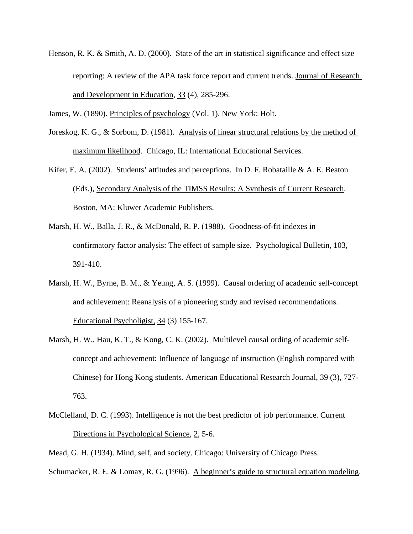Henson, R. K. & Smith, A. D. (2000). State of the art in statistical significance and effect size reporting: A review of the APA task force report and current trends. Journal of Research and Development in Education, 33 (4), 285-296.

James, W. (1890). Principles of psychology (Vol. 1). New York: Holt.

Joreskog, K. G., & Sorbom, D. (1981). Analysis of linear structural relations by the method of maximum likelihood. Chicago, IL: International Educational Services.

Kifer, E. A. (2002). Students' attitudes and perceptions. In D. F. Robataille & A. E. Beaton (Eds.), Secondary Analysis of the TIMSS Results: A Synthesis of Current Research. Boston, MA: Kluwer Academic Publishers.

- Marsh, H. W., Balla, J. R., & McDonald, R. P. (1988). Goodness-of-fit indexes in confirmatory factor analysis: The effect of sample size. Psychological Bulletin, 103, 391-410.
- Marsh, H. W., Byrne, B. M., & Yeung, A. S. (1999). Causal ordering of academic self-concept and achievement: Reanalysis of a pioneering study and revised recommendations. Educational Psycholigist, 34 (3) 155-167.
- Marsh, H. W., Hau, K. T., & Kong, C. K. (2002). Multilevel causal ording of academic selfconcept and achievement: Influence of language of instruction (English compared with Chinese) for Hong Kong students. American Educational Research Journal, 39 (3), 727- 763.
- McClelland, D. C. (1993). Intelligence is not the best predictor of job performance. Current Directions in Psychological Science, 2, 5-6.

Mead, G. H. (1934). Mind, self, and society. Chicago: University of Chicago Press.

Schumacker, R. E. & Lomax, R. G. (1996). A beginner's guide to structural equation modeling.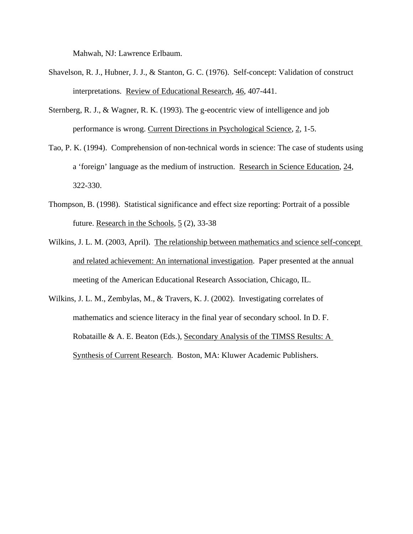Mahwah, NJ: Lawrence Erlbaum.

- Shavelson, R. J., Hubner, J. J., & Stanton, G. C. (1976). Self-concept: Validation of construct interpretations. Review of Educational Research, 46, 407-441.
- Sternberg, R. J., & Wagner, R. K. (1993). The g-eocentric view of intelligence and job performance is wrong. Current Directions in Psychological Science, 2, 1-5.
- Tao, P. K. (1994). Comprehension of non-technical words in science: The case of students using a 'foreign' language as the medium of instruction. Research in Science Education, 24, 322-330.
- Thompson, B. (1998). Statistical significance and effect size reporting: Portrait of a possible future. Research in the Schools, 5 (2), 33-38
- Wilkins, J. L. M. (2003, April). The relationship between mathematics and science self-concept and related achievement: An international investigation. Paper presented at the annual meeting of the American Educational Research Association, Chicago, IL.
- Wilkins, J. L. M., Zembylas, M., & Travers, K. J. (2002). Investigating correlates of mathematics and science literacy in the final year of secondary school. In D. F. Robataille & A. E. Beaton (Eds.), Secondary Analysis of the TIMSS Results: A Synthesis of Current Research. Boston, MA: Kluwer Academic Publishers.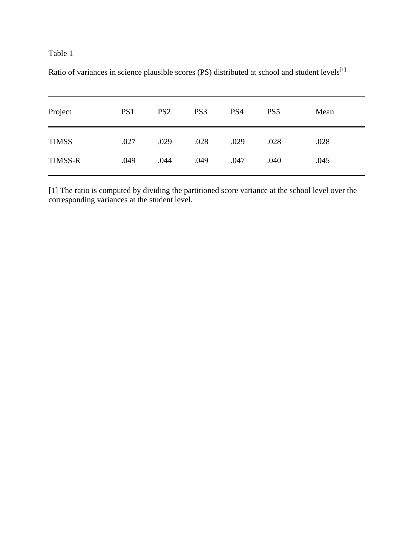| PS1  | PS <sub>2</sub> | PS <sub>3</sub> | PS4  | PS <sub>5</sub> | Mean |
|------|-----------------|-----------------|------|-----------------|------|
| .027 | .029            | .028            | .029 | .028            | .028 |
| .049 | .044            | .049            | .047 | .040            | .045 |
|      |                 |                 |      |                 |      |

Ratio of variances in science plausible scores (PS) distributed at school and student levels<sup>[1]</sup>

[1] The ratio is computed by dividing the partitioned score variance at the school level over the corresponding variances at the student level.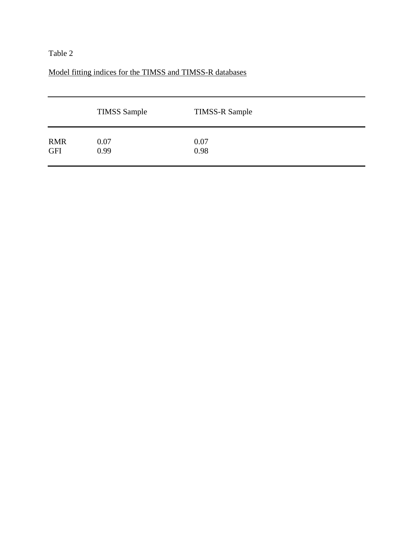# Model fitting indices for the TIMSS and TIMSS-R databases

|            | <b>TIMSS Sample</b> | <b>TIMSS-R Sample</b> |
|------------|---------------------|-----------------------|
| <b>RMR</b> | 0.07                | 0.07                  |
| <b>GFI</b> | 0.99                | 0.98                  |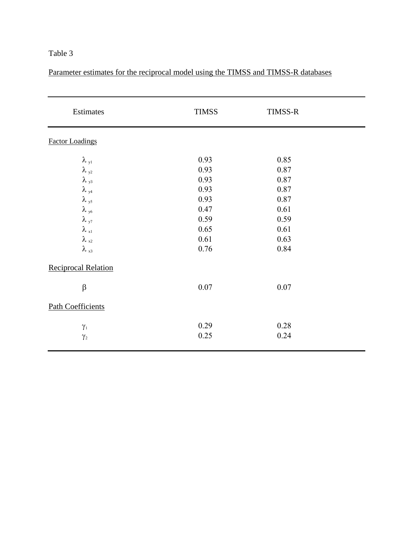Parameter estimates for the reciprocal model using the TIMSS and TIMSS-R databases

| Estimates                  | <b>TIMSS</b> | TIMSS-R  |  |
|----------------------------|--------------|----------|--|
| <b>Factor Loadings</b>     |              |          |  |
| $\lambda_{y1}$             | 0.93         | 0.85     |  |
| $\lambda_{y2}$             | 0.93         | 0.87     |  |
| $\lambda$ <sub>y3</sub>    | 0.93         | 0.87     |  |
| $\lambda$ <sub>y4</sub>    | 0.93         | 0.87     |  |
| $\lambda$ <sub>y5</sub>    | 0.93         | 0.87     |  |
| $\lambda$ <sub>y6</sub>    | 0.47         | 0.61     |  |
| $\lambda$ <sub>y7</sub>    | 0.59         | 0.59     |  |
| $\lambda_{\rm x1}$         | 0.65         | 0.61     |  |
| $\lambda_{x2}$             | 0.61         | 0.63     |  |
| $\lambda_{\rm x3}$         | 0.76         | 0.84     |  |
| <b>Reciprocal Relation</b> |              |          |  |
| $\beta$                    | $0.07\,$     | $0.07\,$ |  |
| <b>Path Coefficients</b>   |              |          |  |
| $\gamma_1$                 | 0.29         | 0.28     |  |
| $\gamma_2$                 | 0.25         | 0.24     |  |
|                            |              |          |  |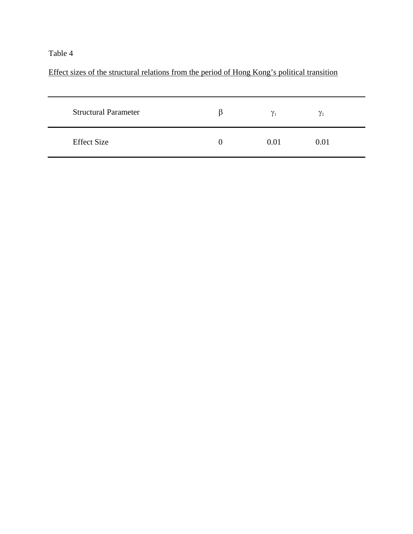# Effect sizes of the structural relations from the period of Hong Kong's political transition

| <b>Structural Parameter</b> |   | $\gamma_1$ | $\gamma_2$ |  |
|-----------------------------|---|------------|------------|--|
| <b>Effect Size</b>          | 0 | 0.01       | 0.01       |  |